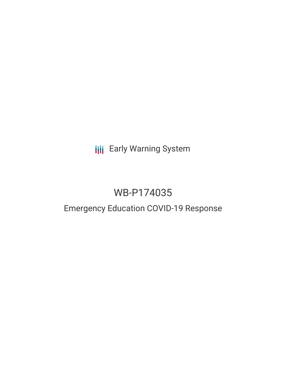# **III** Early Warning System

# WB-P174035

### Emergency Education COVID-19 Response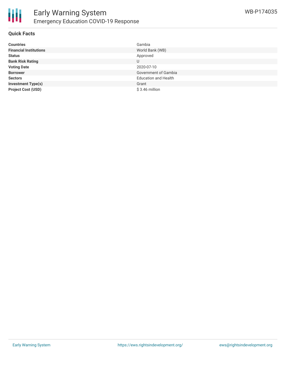

#### **Quick Facts**

| <b>Countries</b>              | Gambia                      |
|-------------------------------|-----------------------------|
| <b>Financial Institutions</b> | World Bank (WB)             |
| <b>Status</b>                 | Approved                    |
| <b>Bank Risk Rating</b>       | U                           |
| <b>Voting Date</b>            | 2020-07-10                  |
| <b>Borrower</b>               | Government of Gambia        |
| <b>Sectors</b>                | <b>Education and Health</b> |
| <b>Investment Type(s)</b>     | Grant                       |
| <b>Project Cost (USD)</b>     | $$3.46$ million             |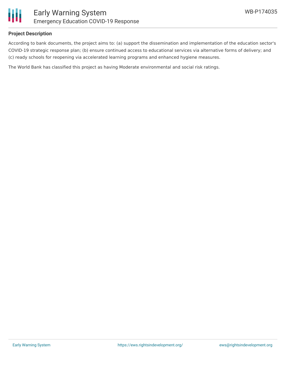

### **Project Description**

According to bank documents, the project aims to: (a) support the dissemination and implementation of the education sector's COVID-19 strategic response plan; (b) ensure continued access to educational services via alternative forms of delivery; and (c) ready schools for reopening via accelerated learning programs and enhanced hygiene measures.

The World Bank has classified this project as having Moderate environmental and social risk ratings.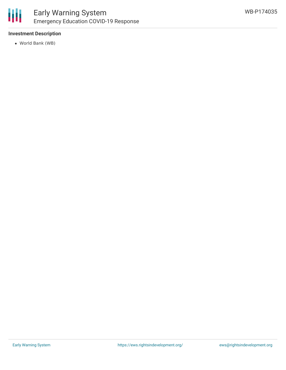

### **Investment Description**

World Bank (WB)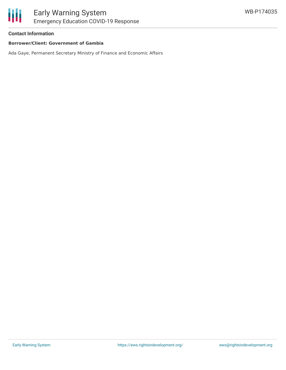#### **Contact Information**

#### **Borrower/Client: Government of Gambia**

Ada Gaye, Permanent Secretary Ministry of Finance and Economic Affairs